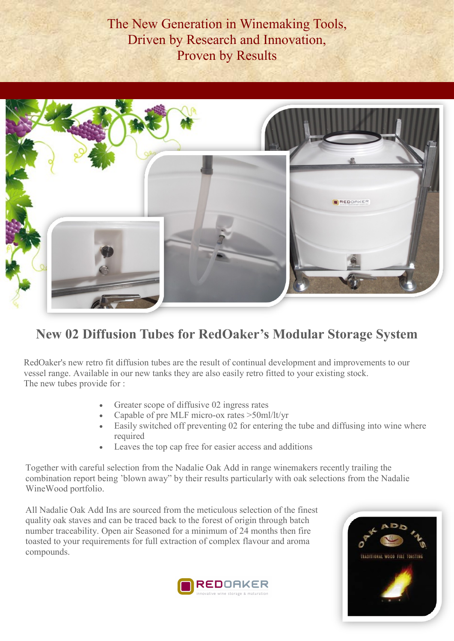The New Generation in Winemaking Tools, Driven by Research and Innovation, Proven by Results



## **New 02 Diffusion Tubes for RedOaker's Modular Storage System**

RedOaker's new retro fit diffusion tubes are the result of continual development and improvements to our vessel range. Available in our new tanks they are also easily retro fitted to your existing stock. The new tubes provide for :

- Greater scope of diffusive 02 ingress rates
- Capable of pre MLF micro-ox rates >50ml/lt/yr
- Easily switched off preventing 02 for entering the tube and diffusing into wine where required
- Leaves the top cap free for easier access and additions

Together with careful selection from the Nadalie Oak Add in range winemakers recently trailing the combination report being 'blown away" by their results particularly with oak selections from the Nadalie WineWood portfolio.

All Nadalie Oak Add Ins are sourced from the meticulous selection of the finest quality oak staves and can be traced back to the forest of origin through batch number traceability. Open air Seasoned for a minimum of 24 months then fire toasted to your requirements for full extraction of complex flavour and aroma compounds.